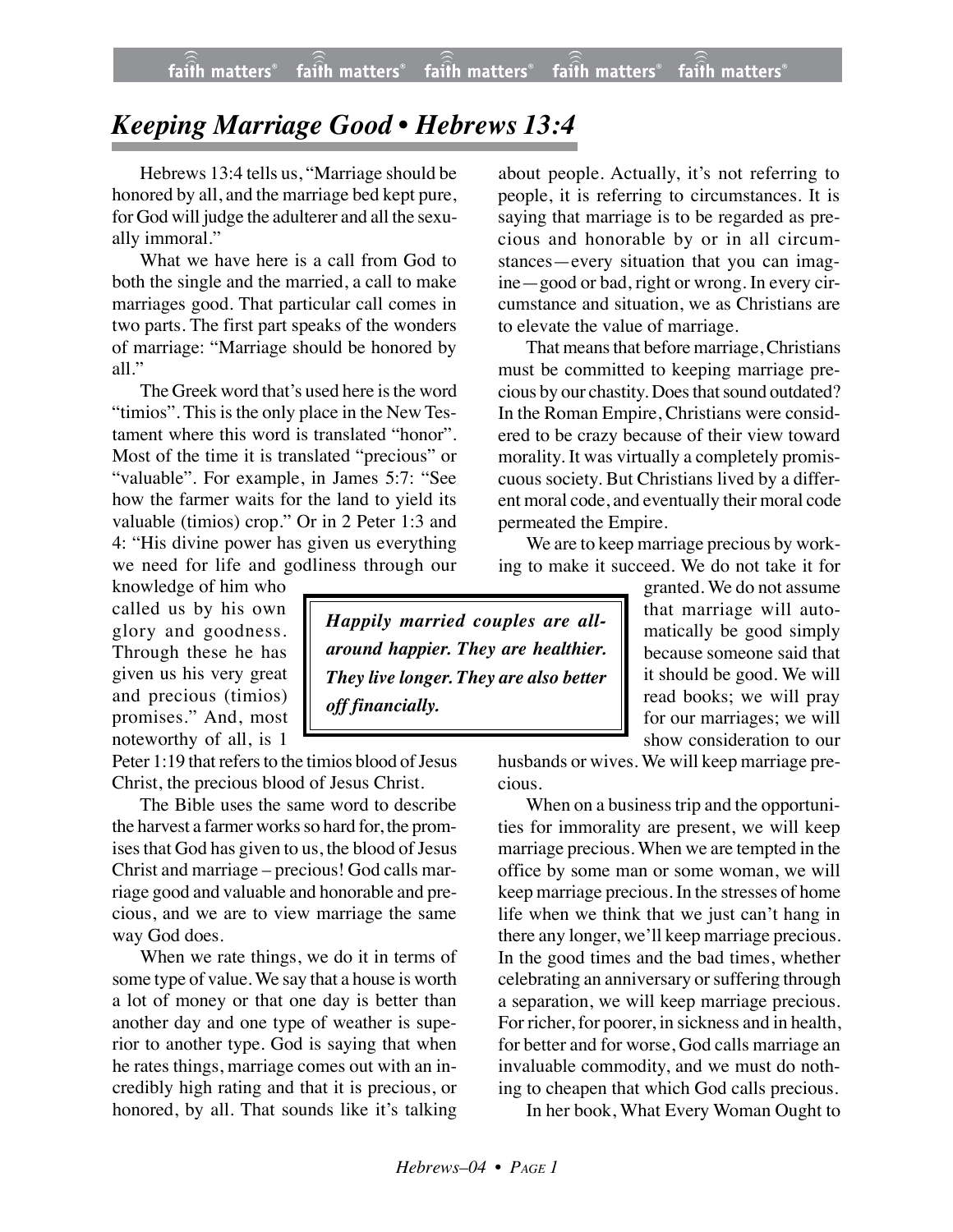## *Keeping Marriage Good • Hebrews 13:4*

Hebrews 13:4 tells us, "Marriage should be honored by all, and the marriage bed kept pure, for God will judge the adulterer and all the sexually immoral."

What we have here is a call from God to both the single and the married, a call to make marriages good. That particular call comes in two parts. The first part speaks of the wonders of marriage: "Marriage should be honored by all."

The Greek word that's used here is the word "timios". This is the only place in the New Testament where this word is translated "honor". Most of the time it is translated "precious" or "valuable". For example, in James 5:7: "See how the farmer waits for the land to yield its valuable (timios) crop." Or in 2 Peter 1:3 and 4: "His divine power has given us everything we need for life and godliness through our

knowledge of him who called us by his own glory and goodness. Through these he has given us his very great and precious (timios) promises." And, most noteworthy of all, is 1

Peter 1:19 that refers to the timios blood of Jesus Christ, the precious blood of Jesus Christ.

The Bible uses the same word to describe the harvest a farmer works so hard for, the promises that God has given to us, the blood of Jesus Christ and marriage – precious! God calls marriage good and valuable and honorable and precious, and we are to view marriage the same way God does.

When we rate things, we do it in terms of some type of value. We say that a house is worth a lot of money or that one day is better than another day and one type of weather is superior to another type. God is saying that when he rates things, marriage comes out with an incredibly high rating and that it is precious, or honored, by all. That sounds like it's talking

about people. Actually, it's not referring to people, it is referring to circumstances. It is saying that marriage is to be regarded as precious and honorable by or in all circumstances—every situation that you can imagine—good or bad, right or wrong. In every circumstance and situation, we as Christians are to elevate the value of marriage.

That means that before marriage, Christians must be committed to keeping marriage precious by our chastity. Does that sound outdated? In the Roman Empire, Christians were considered to be crazy because of their view toward morality. It was virtually a completely promiscuous society. But Christians lived by a different moral code, and eventually their moral code permeated the Empire.

We are to keep marriage precious by working to make it succeed. We do not take it for

> granted. We do not assume that marriage will automatically be good simply because someone said that it should be good. We will read books; we will pray for our marriages; we will show consideration to our

husbands or wives. We will keep marriage precious.

When on a business trip and the opportunities for immorality are present, we will keep marriage precious. When we are tempted in the office by some man or some woman, we will keep marriage precious. In the stresses of home life when we think that we just can't hang in there any longer, we'll keep marriage precious. In the good times and the bad times, whether celebrating an anniversary or suffering through a separation, we will keep marriage precious. For richer, for poorer, in sickness and in health, for better and for worse, God calls marriage an invaluable commodity, and we must do nothing to cheapen that which God calls precious.

In her book, What Every Woman Ought to

*Happily married couples are allaround happier. They are healthier. They live longer. They are also better off financially.*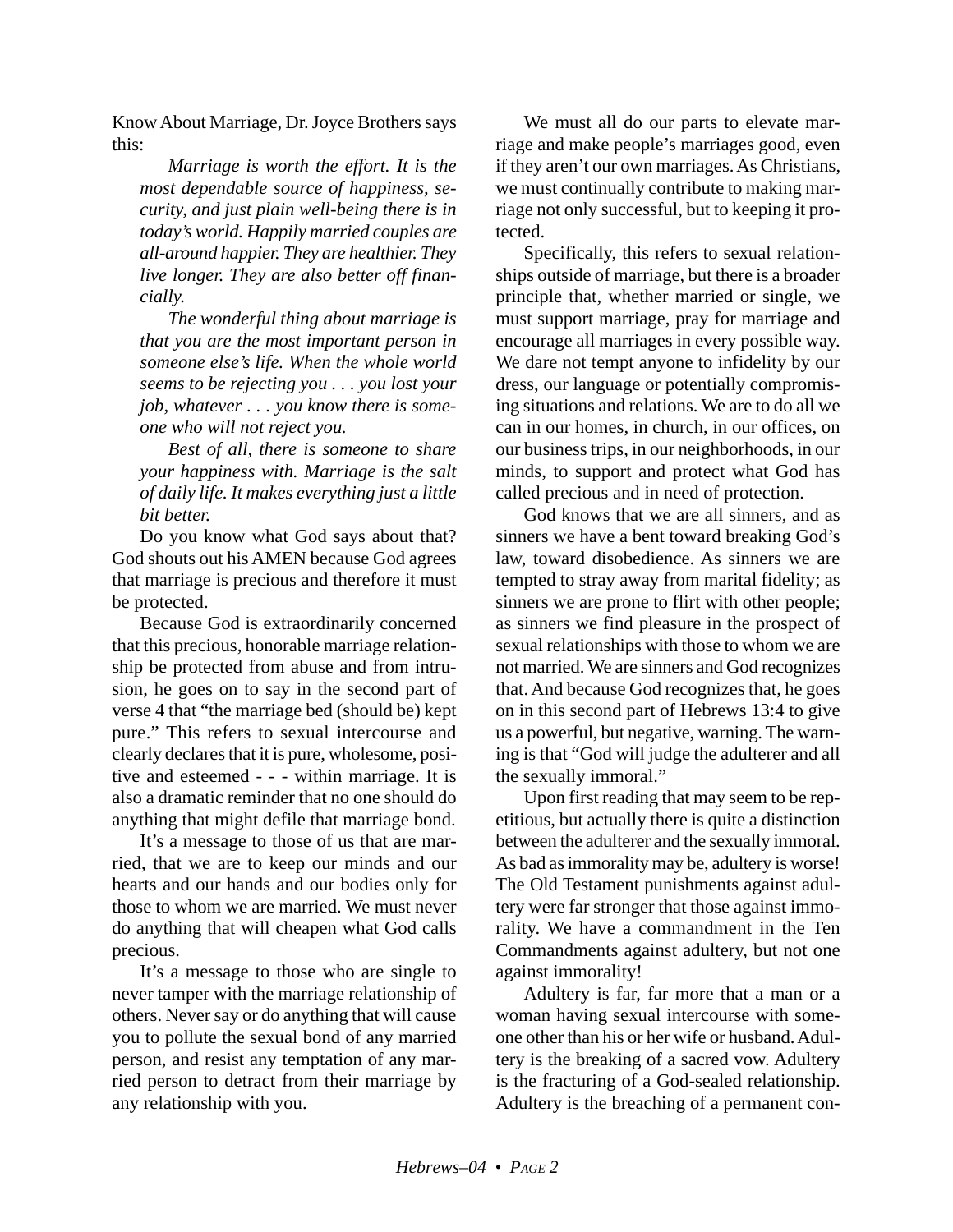Know About Marriage, Dr. Joyce Brothers says this:

*Marriage is worth the effort. It is the most dependable source of happiness, security, and just plain well-being there is in today's world. Happily married couples are all-around happier. They are healthier. They live longer. They are also better off financially.*

*The wonderful thing about marriage is that you are the most important person in someone else's life. When the whole world seems to be rejecting you . . . you lost your job, whatever . . . you know there is someone who will not reject you.*

*Best of all, there is someone to share your happiness with. Marriage is the salt of daily life. It makes everything just a little bit better.*

Do you know what God says about that? God shouts out his AMEN because God agrees that marriage is precious and therefore it must be protected.

Because God is extraordinarily concerned that this precious, honorable marriage relationship be protected from abuse and from intrusion, he goes on to say in the second part of verse 4 that "the marriage bed (should be) kept pure." This refers to sexual intercourse and clearly declares that it is pure, wholesome, positive and esteemed - - - within marriage. It is also a dramatic reminder that no one should do anything that might defile that marriage bond.

It's a message to those of us that are married, that we are to keep our minds and our hearts and our hands and our bodies only for those to whom we are married. We must never do anything that will cheapen what God calls precious.

It's a message to those who are single to never tamper with the marriage relationship of others. Never say or do anything that will cause you to pollute the sexual bond of any married person, and resist any temptation of any married person to detract from their marriage by any relationship with you.

We must all do our parts to elevate marriage and make people's marriages good, even if they aren't our own marriages. As Christians, we must continually contribute to making marriage not only successful, but to keeping it protected.

Specifically, this refers to sexual relationships outside of marriage, but there is a broader principle that, whether married or single, we must support marriage, pray for marriage and encourage all marriages in every possible way. We dare not tempt anyone to infidelity by our dress, our language or potentially compromising situations and relations. We are to do all we can in our homes, in church, in our offices, on our business trips, in our neighborhoods, in our minds, to support and protect what God has called precious and in need of protection.

God knows that we are all sinners, and as sinners we have a bent toward breaking God's law, toward disobedience. As sinners we are tempted to stray away from marital fidelity; as sinners we are prone to flirt with other people; as sinners we find pleasure in the prospect of sexual relationships with those to whom we are not married. We are sinners and God recognizes that. And because God recognizes that, he goes on in this second part of Hebrews 13:4 to give us a powerful, but negative, warning. The warning is that "God will judge the adulterer and all the sexually immoral."

Upon first reading that may seem to be repetitious, but actually there is quite a distinction between the adulterer and the sexually immoral. As bad as immorality may be, adultery is worse! The Old Testament punishments against adultery were far stronger that those against immorality. We have a commandment in the Ten Commandments against adultery, but not one against immorality!

Adultery is far, far more that a man or a woman having sexual intercourse with someone other than his or her wife or husband. Adultery is the breaking of a sacred vow. Adultery is the fracturing of a God-sealed relationship. Adultery is the breaching of a permanent con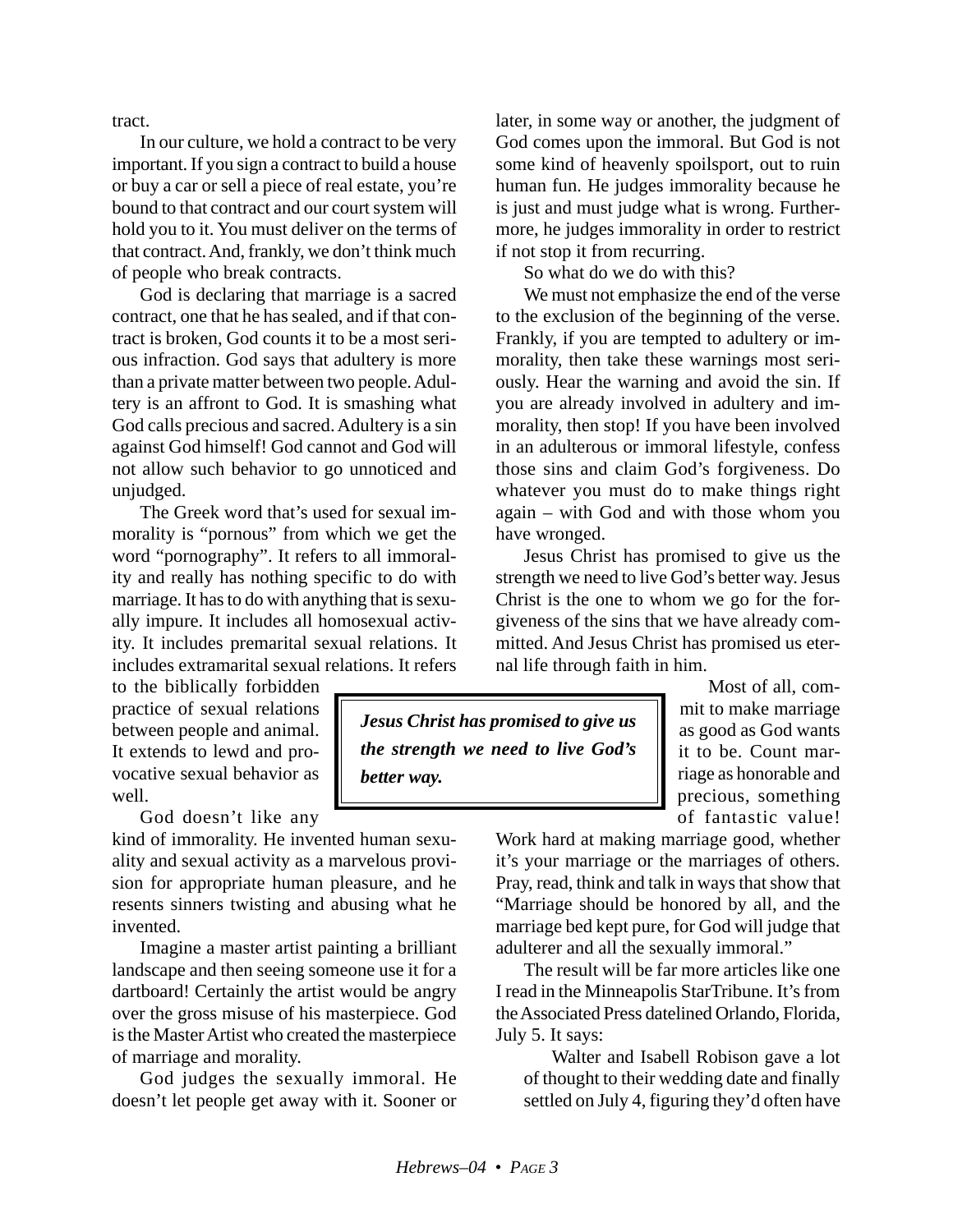tract.

In our culture, we hold a contract to be very important. If you sign a contract to build a house or buy a car or sell a piece of real estate, you're bound to that contract and our court system will hold you to it. You must deliver on the terms of that contract. And, frankly, we don't think much of people who break contracts.

God is declaring that marriage is a sacred contract, one that he has sealed, and if that contract is broken, God counts it to be a most serious infraction. God says that adultery is more than a private matter between two people. Adultery is an affront to God. It is smashing what God calls precious and sacred. Adultery is a sin against God himself! God cannot and God will not allow such behavior to go unnoticed and unjudged.

The Greek word that's used for sexual immorality is "pornous" from which we get the word "pornography". It refers to all immorality and really has nothing specific to do with marriage. It has to do with anything that is sexually impure. It includes all homosexual activity. It includes premarital sexual relations. It includes extramarital sexual relations. It refers

to the biblically forbidden practice of sexual relations between people and animal. It extends to lewd and provocative sexual behavior as well.

God doesn't like any

kind of immorality. He invented human sexuality and sexual activity as a marvelous provision for appropriate human pleasure, and he resents sinners twisting and abusing what he invented.

Imagine a master artist painting a brilliant landscape and then seeing someone use it for a dartboard! Certainly the artist would be angry over the gross misuse of his masterpiece. God is the Master Artist who created the masterpiece of marriage and morality.

God judges the sexually immoral. He doesn't let people get away with it. Sooner or later, in some way or another, the judgment of God comes upon the immoral. But God is not some kind of heavenly spoilsport, out to ruin human fun. He judges immorality because he is just and must judge what is wrong. Furthermore, he judges immorality in order to restrict if not stop it from recurring.

So what do we do with this?

We must not emphasize the end of the verse to the exclusion of the beginning of the verse. Frankly, if you are tempted to adultery or immorality, then take these warnings most seriously. Hear the warning and avoid the sin. If you are already involved in adultery and immorality, then stop! If you have been involved in an adulterous or immoral lifestyle, confess those sins and claim God's forgiveness. Do whatever you must do to make things right again – with God and with those whom you have wronged.

Jesus Christ has promised to give us the strength we need to live God's better way. Jesus Christ is the one to whom we go for the forgiveness of the sins that we have already committed. And Jesus Christ has promised us eternal life through faith in him.

*Jesus Christ has promised to give us the strength we need to live God's better way.*

Most of all, commit to make marriage as good as God wants it to be. Count marriage as honorable and precious, something of fantastic value!

Work hard at making marriage good, whether it's your marriage or the marriages of others. Pray, read, think and talk in ways that show that "Marriage should be honored by all, and the marriage bed kept pure, for God will judge that adulterer and all the sexually immoral."

The result will be far more articles like one I read in the Minneapolis StarTribune. It's from the Associated Press datelined Orlando, Florida, July 5. It says:

Walter and Isabell Robison gave a lot of thought to their wedding date and finally settled on July 4, figuring they'd often have